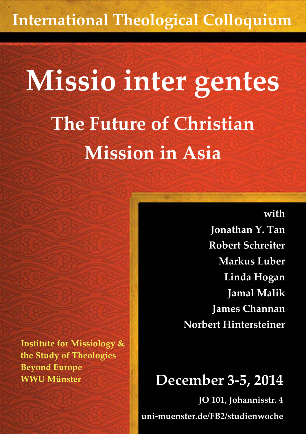## **International Theological Colloquium**

# **Missio inter gentes The Future of Christian Mission in Asia**

**with**

**Jonathan Y. Tan Robert Schreiter Markus Luber Linda Hogan Jamal Malik James Channan Norbert Hintersteiner**

### **December 3-5, 2014**

**JO 101, Johannisstr. 4 uni-muenster.de/FB2/studienwoche**

**Institute for Missiology & the Study of Theologies Beyond Europe WWU Münster**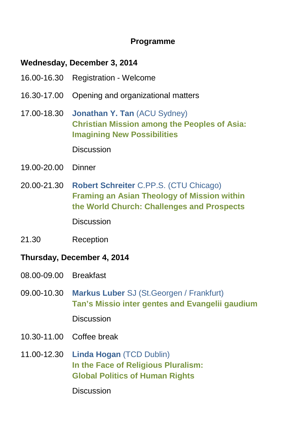#### **Programme**

#### **Wednesday, December 3, 2014**

- 16.00-16.30 Registration Welcome
- 16.30-17.00 Opening and organizational matters
- 17.00-18.30 **Jonathan Y. Tan** (ACU Sydney) **Christian Mission among the Peoples of Asia: Imagining New Possibilities**

**Discussion** 

- 19.00-20.00 Dinner
- 20.00-21.30 **Robert Schreiter** C.PP.S. (CTU Chicago) **Framing an Asian Theology of Mission within the World Church: Challenges and Prospects Discussion**
- 21.30 Reception

#### **Thursday, December 4, 2014**

- 08.00-09.00 Breakfast
- 09.00-10.30 **Markus Luber** SJ (St.Georgen / Frankfurt) **Tan's Missio inter gentes and Evangelii gaudium**

Discussion

- 10.30-11.00 Coffee break
- 11.00-12.30 **Linda Hogan** (TCD Dublin) **In the Face of Religious Pluralism: Global Politics of Human Rights**

**Discussion**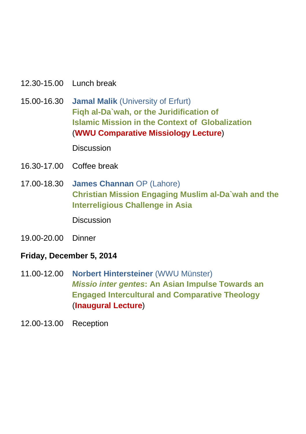- 12.30-15.00 Lunch break
- 15.00-16.30 **Jamal Malik** (University of Erfurt) **Fiqh al-Da`wah, or the Juridification of Islamic Mission in the Context of Globalization** (**WWU Comparative Missiology Lecture**)

**Discussion** 

- 16.30-17.00 Coffee break
- 17.00-18.30 **James Channan** OP (Lahore) **Christian Mission Engaging Muslim al-Da`wah and the Interreligious Challenge in Asia**

**Discussion** 

19.00-20.00 Dinner

#### **Friday, December 5, 2014**

- 11.00-12.00 **Norbert Hintersteiner** (WWU Münster) *Missio inter gentes***: An Asian Impulse Towards an Engaged Intercultural and Comparative Theology** (**Inaugural Lecture**)
- 12.00-13.00 Reception